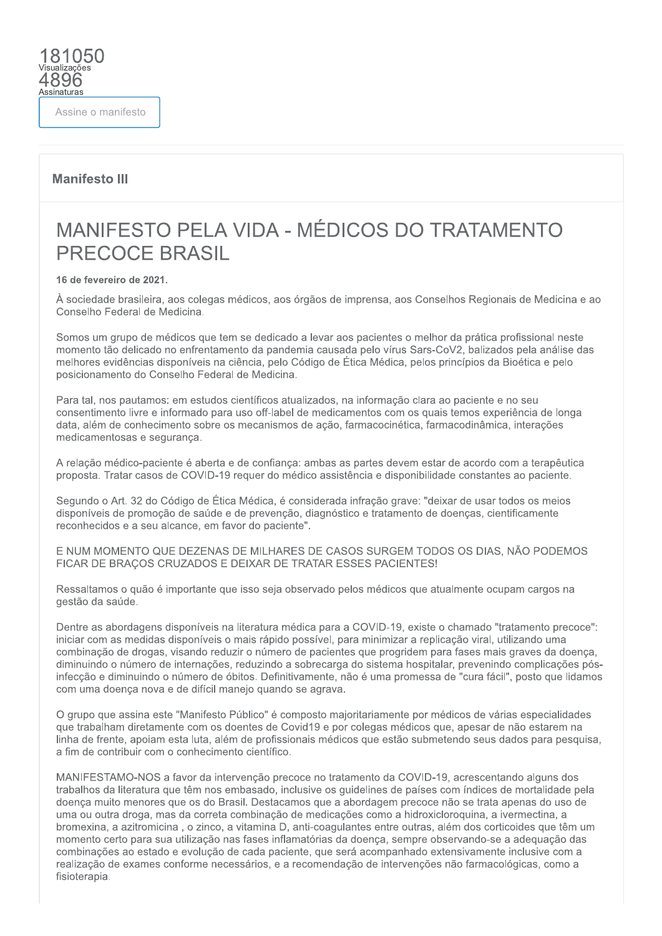Assine o manifesto

81050

4896 Assinaturas

### **Manifesto III**

# MANIFESTO PELA VIDA - MÉDICOS DO TRATAMENTO **PRECOCE BRASIL**

#### 16 de fevereiro de 2021.

À sociedade brasileira, aos colegas médicos, aos órgãos de imprensa, aos Conselhos Regionais de Medicina e ao Conselho Federal de Medicina.

Somos um grupo de médicos que tem se dedicado a levar aos pacientes o melhor da prática profissional neste momento tão delicado no enfrentamento da pandemia causada pelo vírus Sars-CoV2, balizados pela análise das melhores evidências disponíveis na ciência, pelo Código de Ética Médica, pelos princípios da Bioética e pelo posicionamento do Conselho Federal de Medicina.

Para tal, nos pautamos: em estudos científicos atualizados, na informação clara ao paciente e no seu consentimento livre e informado para uso off-label de medicamentos com os quais temos experiência de longa data, além de conhecimento sobre os mecanismos de ação, farmacocinética, farmacodinâmica, interações medicamentosas e seguranca.

A relação médico-paciente é aberta e de confiança: ambas as partes devem estar de acordo com a terapêutica proposta. Tratar casos de COVID-19 requer do médico assistência e disponibilidade constantes ao paciente.

Segundo o Art. 32 do Código de Ética Médica, é considerada infração grave: "deixar de usar todos os meios disponíveis de promoção de saúde e de prevenção, diagnóstico e tratamento de doenças, cientificamente reconhecidos e a seu alcance, em favor do paciente".

E NUM MOMENTO QUE DEZENAS DE MILHARES DE CASOS SURGEM TODOS OS DIAS, NÃO PODEMOS FICAR DE BRAÇOS CRUZADOS E DEIXAR DE TRATAR ESSES PACIENTES!

Ressaltamos o quão é importante que isso seja observado pelos médicos que atualmente ocupam cargos na gestão da saúde.

Dentre as abordagens disponíveis na literatura médica para a COVID-19, existe o chamado "tratamento precoce": iniciar com as medidas disponíveis o mais rápido possível, para minimizar a replicação viral, utilizando uma combinação de drogas, visando reduzir o número de pacientes que progridem para fases mais graves da doenca. diminuindo o número de internações, reduzindo a sobrecarga do sistema hospitalar, prevenindo complicações pósinfecção e diminuindo o número de óbitos. Definitivamente, não é uma promessa de "cura fácil", posto que lidamos com uma doença nova e de difícil manejo quando se agrava.

O grupo que assina este "Manifesto Público" é composto maioritariamente por médicos de várias especialidades que trabalham diretamente com os doentes de Covid19 e por colegas médicos que, apesar de não estarem na linha de frente, apoiam esta luta, além de profissionais médicos que estão submetendo seus dados para pesquisa, a fim de contribuir com o conhecimento científico.

MANIFESTAMO-NOS a favor da intervenção precoce no tratamento da COVID-19, acrescentando alguns dos trabalhos da literatura que têm nos embasado, inclusive os quidelines de países com índices de mortalidade pela doença muito menores que os do Brasil. Destacamos que a abordagem precoce não se trata apenas do uso de uma ou outra droga, mas da correta combinação de medicações como a hidroxicloroguina, a ivermectina, a bromexina, a azitromicina, o zinco, a vitamina D, anti-coagulantes entre outras, além dos corticoides que têm um momento certo para sua utilização nas fases inflamatórias da doenca, sempre observando-se a adeguação das combinações ao estado e evolução de cada paciente, que será acompanhado extensivamente inclusive com a realização de exames conforme necessários, e a recomendação de intervenções não farmacológicas, como a fisioterapia.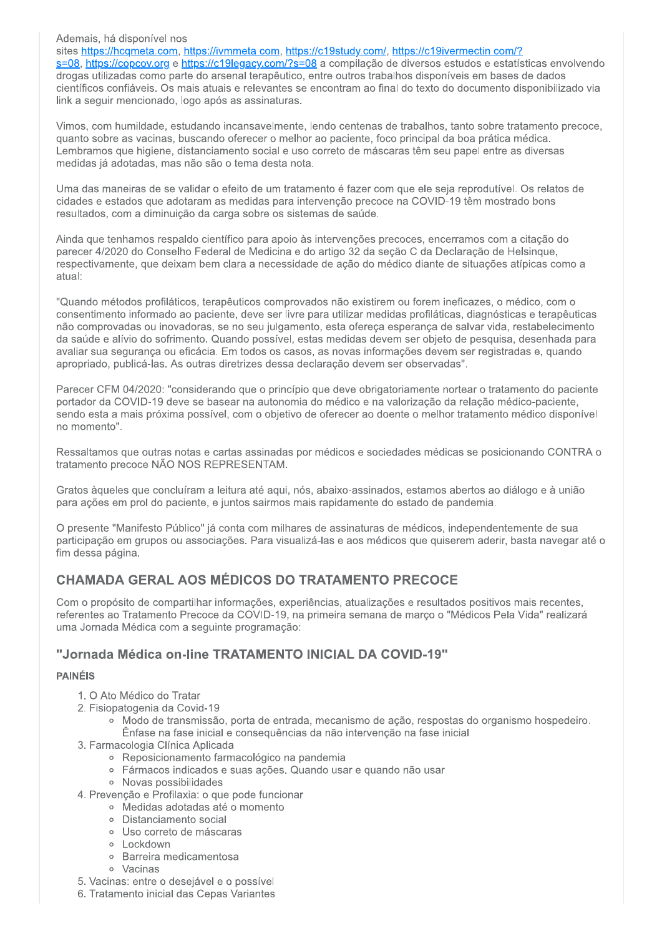#### Ademais, há disponível nos

sites https://hcqmeta.com, https://ivmmeta.com, https://c19study.com/, https://c19ivermectin.com/? s=08, https://copcov.org e https://c19legacy.com/?s=08 a compilação de diversos estudos e estatísticas envolvendo drogas utilizadas como parte do arsenal terapêutico, entre outros trabalhos disponíveis em bases de dados científicos confiáveis. Os mais atuais e relevantes se encontram ao final do texto do documento disponibilizado via link a seguir mencionado, logo após as assinaturas.

Vimos, com humildade, estudando incansavelmente, lendo centenas de trabalhos, tanto sobre tratamento precoce, quanto sobre as vacinas, buscando oferecer o melhor ao paciente, foco principal da boa prática médica. Lembramos que higiene, distanciamento social e uso correto de máscaras têm seu papel entre as diversas medidas já adotadas, mas não são o tema desta nota.

Uma das maneiras de se validar o efeito de um tratamento é fazer com que ele seja reprodutível. Os relatos de cidades e estados que adotaram as medidas para intervenção precoce na COVID-19 têm mostrado bons resultados, com a diminuição da carga sobre os sistemas de saúde.

Ainda que tenhamos respaldo científico para apoio às intervenções precoces, encerramos com a citação do parecer 4/2020 do Conselho Federal de Medicina e do artigo 32 da seção C da Declaração de Helsinque. respectivamente, que deixam bem clara a necessidade de ação do médico diante de situações atípicas como a atual:

"Quando métodos profiláticos, terapêuticos comprovados não existirem ou forem ineficazes, o médico, com o consentimento informado ao paciente, deve ser livre para utilizar medidas profiláticas, diagnósticas e terapêuticas não comprovadas ou inovadoras, se no seu julgamento, esta ofereça esperança de salvar vida, restabelecimento da saúde e alívio do sofrimento. Quando possível, estas medidas devem ser objeto de pesquisa, desenhada para avaliar sua segurança ou eficácia. Em todos os casos, as novas informações devem ser registradas e, quando apropriado, publicá-las. As outras diretrizes dessa declaração devem ser observadas".

Parecer CFM 04/2020: "considerando que o princípio que deve obrigatoriamente nortear o tratamento do paciente portador da COVID-19 deve se basear na autonomia do médico e na valorização da relação médico-paciente, sendo esta a mais próxima possível, com o objetivo de oferecer ao doente o melhor tratamento médico disponível no momento".

Ressaltamos que outras notas e cartas assinadas por médicos e sociedades médicas se posicionando CONTRA o tratamento precoce NÃO NOS REPRESENTAM.

Gratos àqueles que concluíram a leitura até aqui, nós, abaixo-assinados, estamos abertos ao diálogo e à união para ações em prol do paciente, e juntos sairmos mais rapidamente do estado de pandemia.

O presente "Manifesto Público" já conta com milhares de assinaturas de médicos, independentemente de sua participação em grupos ou associações. Para visualizá-las e aos médicos que quiserem aderir, basta navegar até o fim dessa página.

# **CHAMADA GERAL AOS MÉDICOS DO TRATAMENTO PRECOCE**

Com o propósito de compartilhar informações, experiências, atualizações e resultados positivos mais recentes, referentes ao Tratamento Precoce da COVID-19, na primeira semana de marco o "Médicos Pela Vida" realizará uma Jornada Médica com a seguinte programação:

## "Jornada Médica on-line TRATAMENTO INICIAL DA COVID-19"

#### **PAINÉIS**

- 1. O Ato Médico do Tratar
- 2. Fisiopatogenia da Covid-19
	- · Modo de transmissão, porta de entrada, mecanismo de ação, respostas do organismo hospedeiro. Ênfase na fase inicial e consequências da não intervenção na fase inicial
- 3. Farmacologia Clínica Aplicada
	- · Reposicionamento farmacológico na pandemia
	- · Fármacos indicados e suas ações. Quando usar e quando não usar
	- · Novas possibilidades
- 4. Prevenção e Profilaxia: o que pode funcionar
	- · Medidas adotadas até o momento
	- · Distanciamento social
	- o Uso correto de máscaras
	- · Lockdown
	- · Barreira medicamentosa
	- · Vacinas
- 5. Vacinas: entre o desejável e o possível
- 6. Tratamento inicial das Cepas Variantes